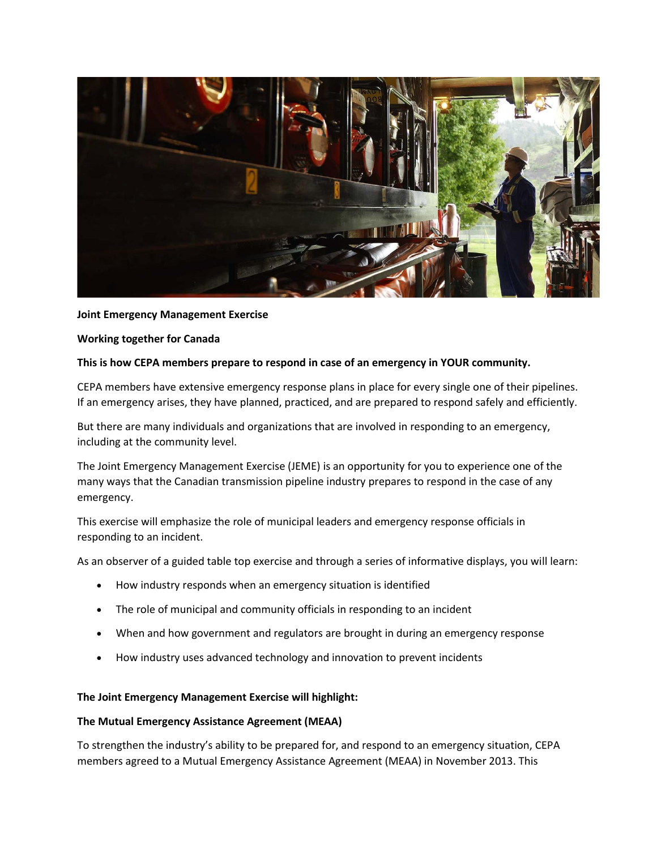

# **Joint Emergency Management Exercise**

#### **Working together for Canada**

#### **This is how CEPA members prepare to respond in case of an emergency in YOUR community.**

CEPA members have extensive emergency response plans in place for every single one of their pipelines. If an emergency arises, they have planned, practiced, and are prepared to respond safely and efficiently.

But there are many individuals and organizations that are involved in responding to an emergency, including at the community level.

The Joint Emergency Management Exercise (JEME) is an opportunity for you to experience one of the many ways that the Canadian transmission pipeline industry prepares to respond in the case of any emergency.

This exercise will emphasize the role of municipal leaders and emergency response officials in responding to an incident.

As an observer of a guided table top exercise and through a series of informative displays, you will learn:

- How industry responds when an emergency situation is identified
- The role of municipal and community officials in responding to an incident
- When and how government and regulators are brought in during an emergency response
- How industry uses advanced technology and innovation to prevent incidents

#### **The Joint Emergency Management Exercise will highlight:**

#### **The Mutual Emergency Assistance Agreement (MEAA)**

To strengthen the industry's ability to be prepared for, and respond to an emergency situation, CEPA members agreed to a Mutual Emergency Assistance Agreement (MEAA) in November 2013. This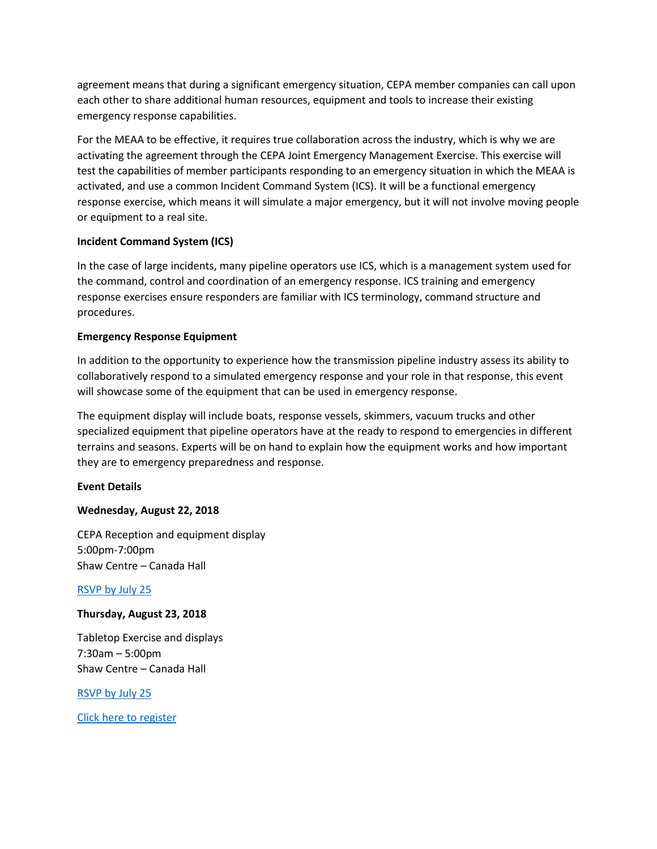agreement means that during a significant emergency situation, CEPA member companies can call upon each other to share additional human resources, equipment and tools to increase their existing emergency response capabilities.

For the MEAA to be effective, it requires true collaboration across the industry, which is why we are activating the agreement through the CEPA Joint Emergency Management Exercise. This exercise will test the capabilities of member participants responding to an emergency situation in which the MEAA is activated, and use a common Incident Command System (ICS). It will be a functional emergency response exercise, which means it will simulate a major emergency, but it will not involve moving people or equipment to a real site.

# **Incident Command System (ICS)**

In the case of large incidents, many pipeline operators use ICS, which is a management system used for the command, control and coordination of an emergency response. ICS training and emergency response exercises ensure responders are familiar with ICS terminology, command structure and procedures.

# **Emergency Response Equipment**

In addition to the opportunity to experience how the transmission pipeline industry assess its ability to collaboratively respond to a simulated emergency response and your role in that response, this event will showcase some of the equipment that can be used in emergency response.

The equipment display will include boats, response vessels, skimmers, vacuum trucks and other specialized equipment that pipeline operators have at the ready to respond to emergencies in different terrains and seasons. Experts will be on hand to explain how the equipment works and how important they are to emergency preparedness and response.

# **Event Details**

# **Wednesday, August 22, 2018**

CEPA Reception and equipment display 5:00pm-7:00pm Shaw Centre – Canada Hall

# [RSVP by July 25](http://www.cvent.com/d/lgq08k)

# **Thursday, August 23, 2018**

Tabletop Exercise and displays 7:30am – 5:00pm Shaw Centre – Canada Hall

[RSVP by July 25](http://www.cvent.com/d/lgq08k)

[Click here to register](http://www.cvent.com/d/lgq08k)